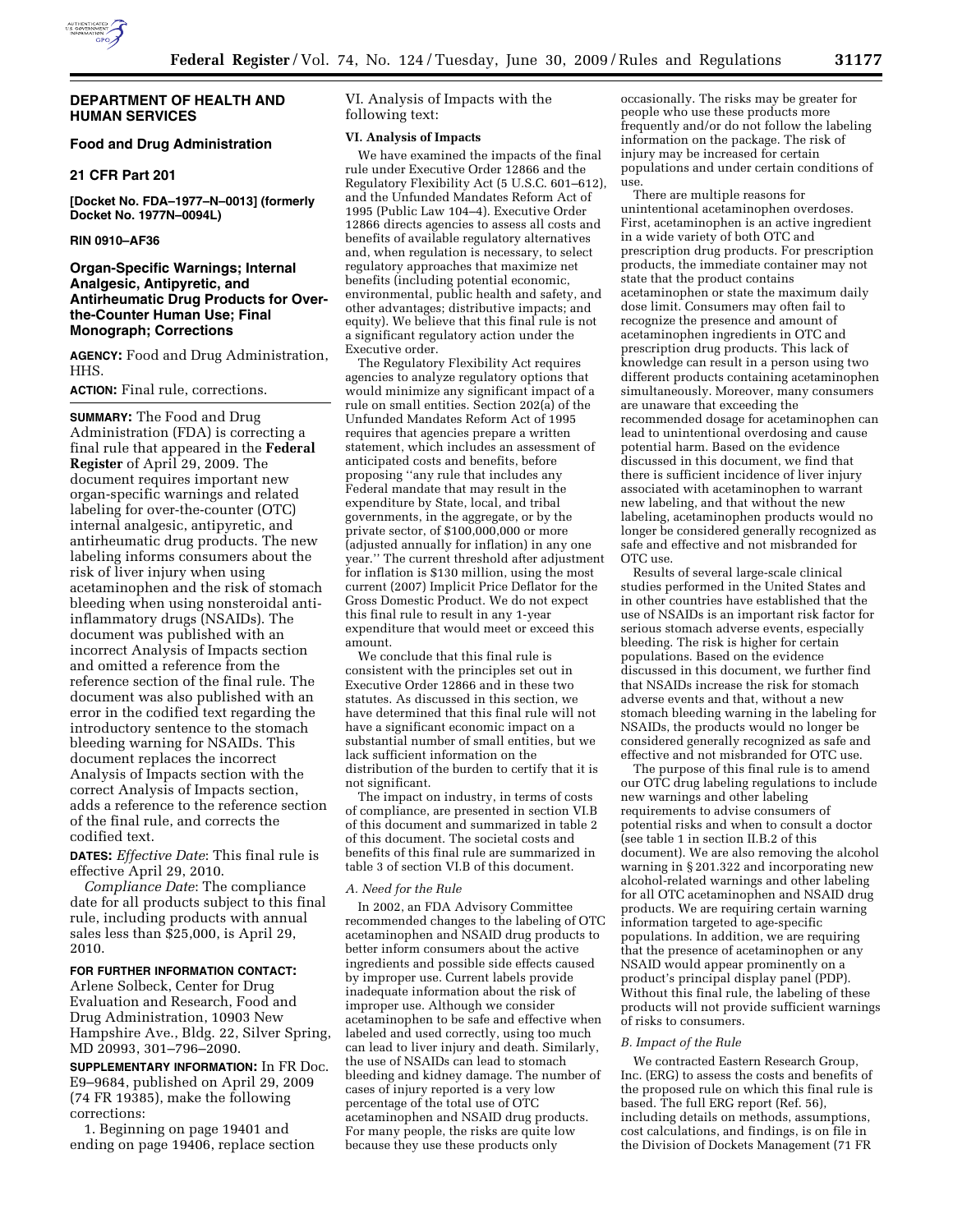

# **Food and Drug Administration**

#### **21 CFR Part 201**

**[Docket No. FDA–1977–N–0013] (formerly Docket No. 1977N–0094L)** 

#### **RIN 0910–AF36**

# **Organ-Specific Warnings; Internal Analgesic, Antipyretic, and Antirheumatic Drug Products for Overthe-Counter Human Use; Final Monograph; Corrections**

**AGENCY:** Food and Drug Administration, HHS.

#### **ACTION:** Final rule, corrections.

**SUMMARY:** The Food and Drug Administration (FDA) is correcting a final rule that appeared in the **Federal Register** of April 29, 2009. The document requires important new organ-specific warnings and related labeling for over-the-counter (OTC) internal analgesic, antipyretic, and antirheumatic drug products. The new labeling informs consumers about the risk of liver injury when using acetaminophen and the risk of stomach bleeding when using nonsteroidal antiinflammatory drugs (NSAIDs). The document was published with an incorrect Analysis of Impacts section and omitted a reference from the reference section of the final rule. The document was also published with an error in the codified text regarding the introductory sentence to the stomach bleeding warning for NSAIDs. This document replaces the incorrect Analysis of Impacts section with the correct Analysis of Impacts section, adds a reference to the reference section of the final rule, and corrects the codified text.

**DATES:** *Effective Date*: This final rule is effective April 29, 2010.

*Compliance Date*: The compliance date for all products subject to this final rule, including products with annual sales less than \$25,000, is April 29, 2010.

#### **FOR FURTHER INFORMATION CONTACT:**

Arlene Solbeck, Center for Drug Evaluation and Research, Food and Drug Administration, 10903 New Hampshire Ave., Bldg. 22, Silver Spring, MD 20993, 301–796–2090.

**SUPPLEMENTARY INFORMATION:** In FR Doc. E9–9684, published on April 29, 2009 (74 FR 19385), make the following corrections:

1. Beginning on page 19401 and ending on page 19406, replace section VI. Analysis of Impacts with the following text:

#### **VI. Analysis of Impacts**

We have examined the impacts of the final rule under Executive Order 12866 and the Regulatory Flexibility Act (5 U.S.C. 601–612), and the Unfunded Mandates Reform Act of 1995 (Public Law 104–4). Executive Order 12866 directs agencies to assess all costs and benefits of available regulatory alternatives and, when regulation is necessary, to select regulatory approaches that maximize net benefits (including potential economic, environmental, public health and safety, and other advantages; distributive impacts; and equity). We believe that this final rule is not a significant regulatory action under the Executive order.

The Regulatory Flexibility Act requires agencies to analyze regulatory options that would minimize any significant impact of a rule on small entities. Section 202(a) of the Unfunded Mandates Reform Act of 1995 requires that agencies prepare a written statement, which includes an assessment of anticipated costs and benefits, before proposing ''any rule that includes any Federal mandate that may result in the expenditure by State, local, and tribal governments, in the aggregate, or by the private sector, of \$100,000,000 or more (adjusted annually for inflation) in any one year.'' The current threshold after adjustment for inflation is \$130 million, using the most current (2007) Implicit Price Deflator for the Gross Domestic Product. We do not expect this final rule to result in any 1-year expenditure that would meet or exceed this amount.

We conclude that this final rule is consistent with the principles set out in Executive Order 12866 and in these two statutes. As discussed in this section, we have determined that this final rule will not have a significant economic impact on a substantial number of small entities, but we lack sufficient information on the distribution of the burden to certify that it is not significant.

The impact on industry, in terms of costs of compliance, are presented in section VI.B of this document and summarized in table 2 of this document. The societal costs and benefits of this final rule are summarized in table 3 of section VI.B of this document.

#### *A. Need for the Rule*

In 2002, an FDA Advisory Committee recommended changes to the labeling of OTC acetaminophen and NSAID drug products to better inform consumers about the active ingredients and possible side effects caused by improper use. Current labels provide inadequate information about the risk of improper use. Although we consider acetaminophen to be safe and effective when labeled and used correctly, using too much can lead to liver injury and death. Similarly, the use of NSAIDs can lead to stomach bleeding and kidney damage. The number of cases of injury reported is a very low percentage of the total use of OTC acetaminophen and NSAID drug products. For many people, the risks are quite low because they use these products only

occasionally. The risks may be greater for people who use these products more frequently and/or do not follow the labeling information on the package. The risk of injury may be increased for certain populations and under certain conditions of use.

There are multiple reasons for unintentional acetaminophen overdoses. First, acetaminophen is an active ingredient in a wide variety of both OTC and prescription drug products. For prescription products, the immediate container may not state that the product contains acetaminophen or state the maximum daily dose limit. Consumers may often fail to recognize the presence and amount of acetaminophen ingredients in OTC and prescription drug products. This lack of knowledge can result in a person using two different products containing acetaminophen simultaneously. Moreover, many consumers are unaware that exceeding the recommended dosage for acetaminophen can lead to unintentional overdosing and cause potential harm. Based on the evidence discussed in this document, we find that there is sufficient incidence of liver injury associated with acetaminophen to warrant new labeling, and that without the new labeling, acetaminophen products would no longer be considered generally recognized as safe and effective and not misbranded for OTC use.

Results of several large-scale clinical studies performed in the United States and in other countries have established that the use of NSAIDs is an important risk factor for serious stomach adverse events, especially bleeding. The risk is higher for certain populations. Based on the evidence discussed in this document, we further find that NSAIDs increase the risk for stomach adverse events and that, without a new stomach bleeding warning in the labeling for NSAIDs, the products would no longer be considered generally recognized as safe and effective and not misbranded for OTC use.

The purpose of this final rule is to amend our OTC drug labeling regulations to include new warnings and other labeling requirements to advise consumers of potential risks and when to consult a doctor (see table 1 in section II.B.2 of this document). We are also removing the alcohol warning in § 201.322 and incorporating new alcohol-related warnings and other labeling for all OTC acetaminophen and NSAID drug products. We are requiring certain warning information targeted to age-specific populations. In addition, we are requiring that the presence of acetaminophen or any NSAID would appear prominently on a product's principal display panel (PDP). Without this final rule, the labeling of these products will not provide sufficient warnings of risks to consumers.

#### *B. Impact of the Rule*

We contracted Eastern Research Group, Inc. (ERG) to assess the costs and benefits of the proposed rule on which this final rule is based. The full ERG report (Ref. 56), including details on methods, assumptions, cost calculations, and findings, is on file in the Division of Dockets Management (71 FR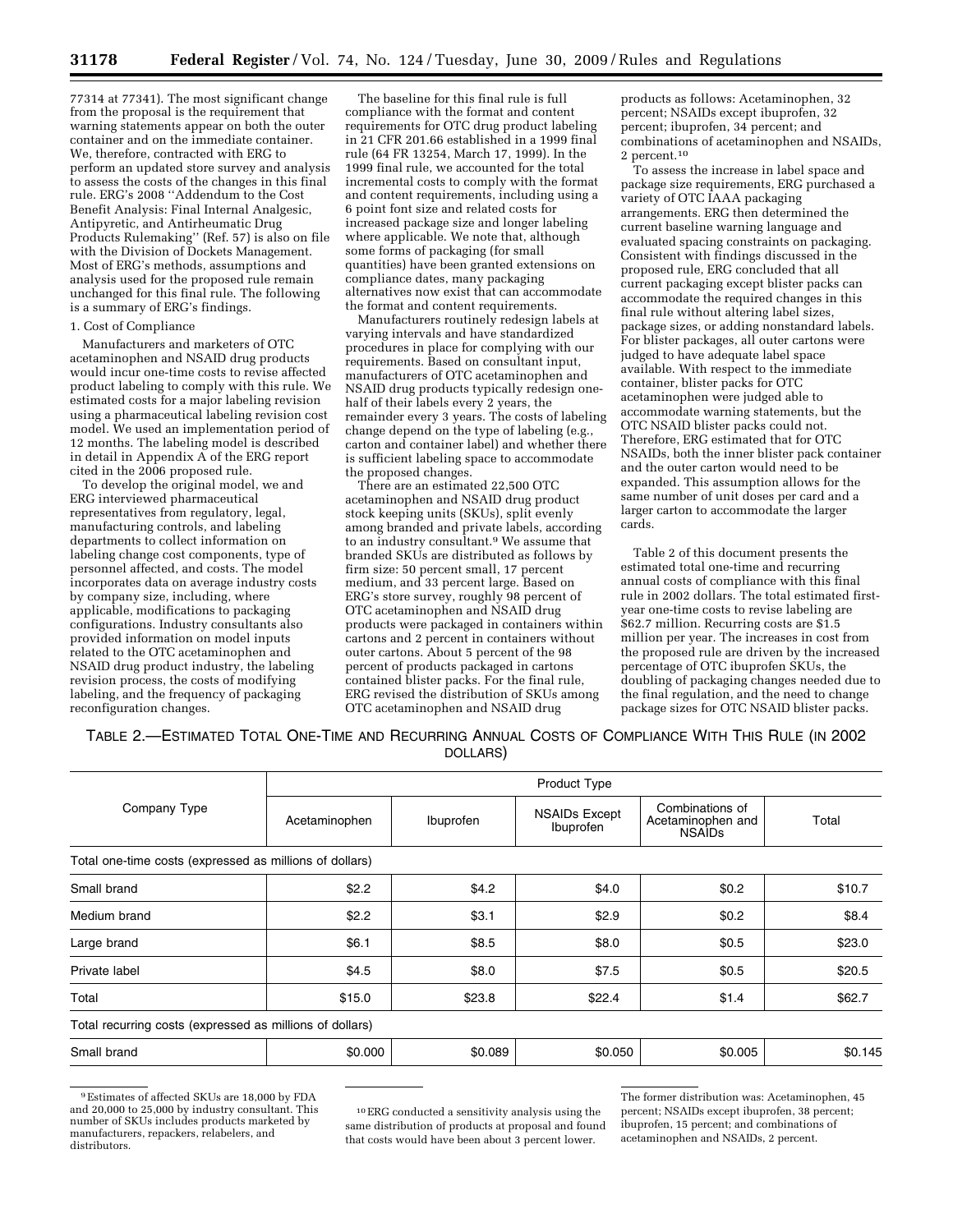77314 at 77341). The most significant change from the proposal is the requirement that warning statements appear on both the outer container and on the immediate container. We, therefore, contracted with ERG to perform an updated store survey and analysis to assess the costs of the changes in this final rule. ERG's 2008 ''Addendum to the Cost Benefit Analysis: Final Internal Analgesic, Antipyretic, and Antirheumatic Drug Products Rulemaking'' (Ref. 57) is also on file with the Division of Dockets Management. Most of ERG's methods, assumptions and analysis used for the proposed rule remain unchanged for this final rule. The following is a summary of ERG's findings.

# 1. Cost of Compliance

Manufacturers and marketers of OTC acetaminophen and NSAID drug products would incur one-time costs to revise affected product labeling to comply with this rule. We estimated costs for a major labeling revision using a pharmaceutical labeling revision cost model. We used an implementation period of 12 months. The labeling model is described in detail in Appendix A of the ERG report cited in the 2006 proposed rule.

To develop the original model, we and ERG interviewed pharmaceutical representatives from regulatory, legal, manufacturing controls, and labeling departments to collect information on labeling change cost components, type of personnel affected, and costs. The model incorporates data on average industry costs by company size, including, where applicable, modifications to packaging configurations. Industry consultants also provided information on model inputs related to the OTC acetaminophen and NSAID drug product industry, the labeling revision process, the costs of modifying labeling, and the frequency of packaging reconfiguration changes.

The baseline for this final rule is full compliance with the format and content requirements for OTC drug product labeling in 21 CFR 201.66 established in a 1999 final rule (64 FR 13254, March 17, 1999). In the 1999 final rule, we accounted for the total incremental costs to comply with the format and content requirements, including using a 6 point font size and related costs for increased package size and longer labeling where applicable. We note that, although some forms of packaging (for small quantities) have been granted extensions on compliance dates, many packaging alternatives now exist that can accommodate the format and content requirements.

Manufacturers routinely redesign labels at varying intervals and have standardized procedures in place for complying with our requirements. Based on consultant input, manufacturers of OTC acetaminophen and NSAID drug products typically redesign onehalf of their labels every 2 years, the remainder every 3 years. The costs of labeling change depend on the type of labeling (e.g., carton and container label) and whether there is sufficient labeling space to accommodate the proposed changes.

There are an estimated 22,500 OTC acetaminophen and NSAID drug product stock keeping units (SKUs), split evenly among branded and private labels, according to an industry consultant.9 We assume that branded SKUs are distributed as follows by firm size: 50 percent small, 17 percent medium, and 33 percent large. Based on ERG's store survey, roughly 98 percent of OTC acetaminophen and NSAID drug products were packaged in containers within cartons and 2 percent in containers without outer cartons. About 5 percent of the 98 percent of products packaged in cartons contained blister packs. For the final rule, ERG revised the distribution of SKUs among OTC acetaminophen and NSAID drug

products as follows: Acetaminophen, 32 percent; NSAIDs except ibuprofen, 32 percent; ibuprofen, 34 percent; and combinations of acetaminophen and NSAIDs, 2 percent.10

To assess the increase in label space and package size requirements, ERG purchased a variety of OTC IAAA packaging arrangements. ERG then determined the current baseline warning language and evaluated spacing constraints on packaging. Consistent with findings discussed in the proposed rule, ERG concluded that all current packaging except blister packs can accommodate the required changes in this final rule without altering label sizes, package sizes, or adding nonstandard labels. For blister packages, all outer cartons were judged to have adequate label space available. With respect to the immediate container, blister packs for OTC acetaminophen were judged able to accommodate warning statements, but the OTC NSAID blister packs could not. Therefore, ERG estimated that for OTC NSAIDs, both the inner blister pack container and the outer carton would need to be expanded. This assumption allows for the same number of unit doses per card and a larger carton to accommodate the larger cards.

Table 2 of this document presents the estimated total one-time and recurring annual costs of compliance with this final rule in 2002 dollars. The total estimated firstyear one-time costs to revise labeling are \$62.7 million. Recurring costs are \$1.5 million per year. The increases in cost from the proposed rule are driven by the increased percentage of OTC ibuprofen SKUs, the doubling of packaging changes needed due to the final regulation, and the need to change package sizes for OTC NSAID blister packs.

TABLE 2.—ESTIMATED TOTAL ONE-TIME AND RECURRING ANNUAL COSTS OF COMPLIANCE WITH THIS RULE (IN 2002 DOLLARS)

| Company Type                                             | Product Type  |           |                                   |                                                       |         |  |  |  |  |
|----------------------------------------------------------|---------------|-----------|-----------------------------------|-------------------------------------------------------|---------|--|--|--|--|
|                                                          | Acetaminophen | Ibuprofen | <b>NSAIDs Except</b><br>Ibuprofen | Combinations of<br>Acetaminophen and<br><b>NSAIDs</b> | Total   |  |  |  |  |
| Total one-time costs (expressed as millions of dollars)  |               |           |                                   |                                                       |         |  |  |  |  |
| Small brand                                              | \$2.2         | \$4.2     | \$4.0                             | \$0.2                                                 | \$10.7  |  |  |  |  |
| Medium brand                                             | \$2.2         | \$3.1     | \$2.9                             | \$0.2                                                 | \$8.4   |  |  |  |  |
| Large brand                                              | \$6.1         | \$8.5     | \$8.0                             | \$0.5                                                 | \$23.0  |  |  |  |  |
| Private label                                            | \$4.5         | \$8.0     | \$7.5                             | \$0.5                                                 | \$20.5  |  |  |  |  |
| Total                                                    | \$15.0        | \$23.8    | \$22.4                            | \$1.4                                                 | \$62.7  |  |  |  |  |
| Total recurring costs (expressed as millions of dollars) |               |           |                                   |                                                       |         |  |  |  |  |
| Small brand                                              | \$0.000       | \$0.089   | \$0.050                           | \$0.005                                               | \$0.145 |  |  |  |  |

<sup>9</sup>Estimates of affected SKUs are 18,000 by FDA and 20,000 to 25,000 by industry consultant. This number of SKUs includes products marketed by manufacturers, repackers, relabelers, and distributors.

10ERG conducted a sensitivity analysis using the same distribution of products at proposal and found that costs would have been about 3 percent lower.

The former distribution was: Acetaminophen, 45 percent; NSAIDs except ibuprofen, 38 percent; ibuprofen, 15 percent; and combinations of acetaminophen and NSAIDs, 2 percent.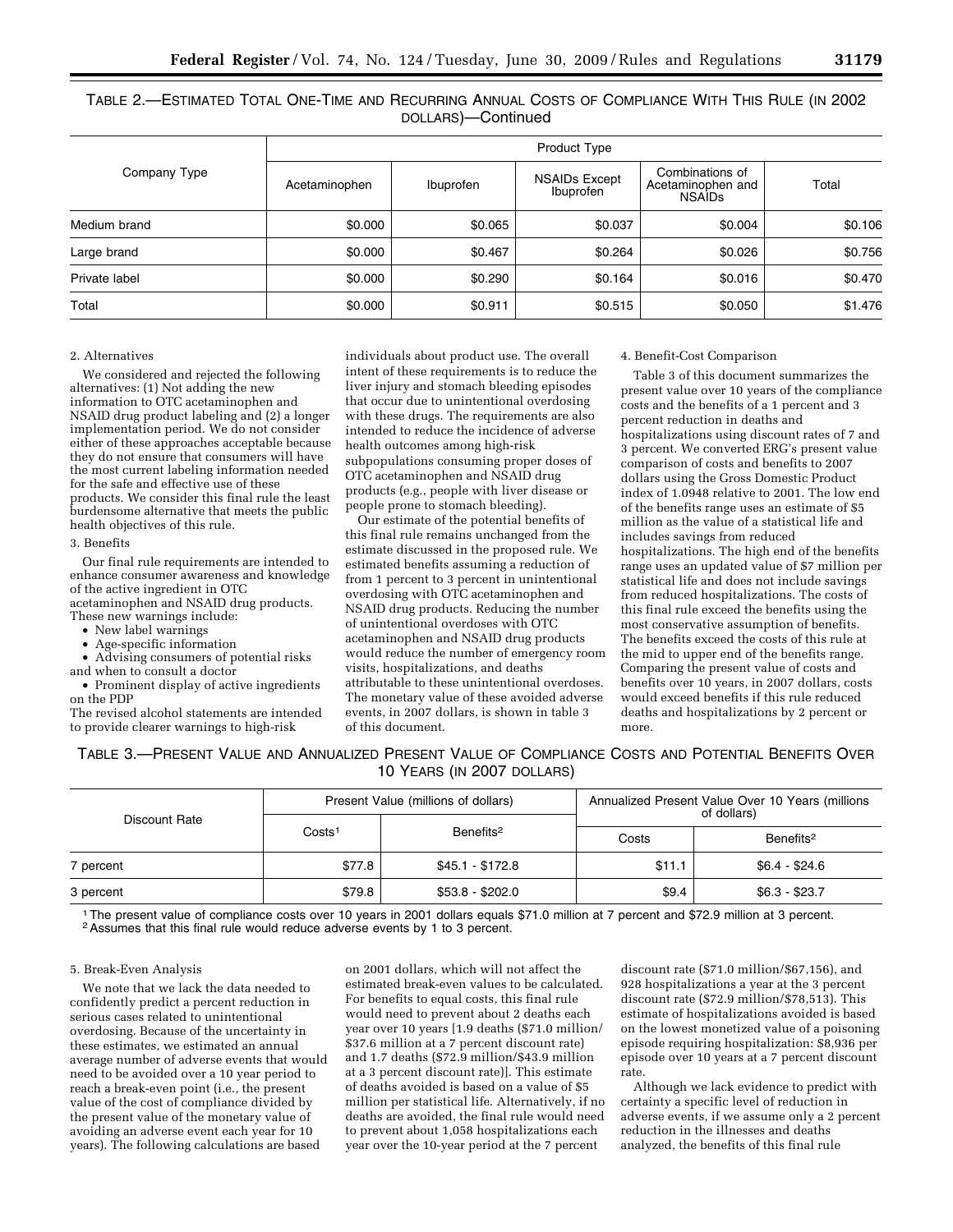TABLE 2.—ESTIMATED TOTAL ONE-TIME AND RECURRING ANNUAL COSTS OF COMPLIANCE WITH THIS RULE (IN 2002 DOLLARS)—Continued

| Company Type  | Product Type  |           |                                   |                                                       |         |  |  |
|---------------|---------------|-----------|-----------------------------------|-------------------------------------------------------|---------|--|--|
|               | Acetaminophen | Ibuprofen | <b>NSAIDs Except</b><br>Ibuprofen | Combinations of<br>Acetaminophen and<br><b>NSAIDs</b> | Total   |  |  |
| Medium brand  | \$0.000       | \$0.065   | \$0.037                           | \$0.004                                               | \$0.106 |  |  |
| Large brand   | \$0.000       | \$0.467   | \$0.264                           | \$0.026                                               | \$0.756 |  |  |
| Private label | \$0.000       | \$0.290   | \$0.164                           | \$0.016                                               | \$0.470 |  |  |
| Total         | \$0.000       | \$0.911   | \$0.515                           | \$0.050                                               | \$1.476 |  |  |

# 2. Alternatives

We considered and rejected the following alternatives: (1) Not adding the new information to OTC acetaminophen and NSAID drug product labeling and (2) a longer implementation period. We do not consider either of these approaches acceptable because they do not ensure that consumers will have the most current labeling information needed for the safe and effective use of these products. We consider this final rule the least burdensome alternative that meets the public health objectives of this rule.

#### 3. Benefits

Our final rule requirements are intended to enhance consumer awareness and knowledge of the active ingredient in OTC acetaminophen and NSAID drug products. These new warnings include:

• New label warnings

• Age-specific information

• Advising consumers of potential risks and when to consult a doctor

• Prominent display of active ingredients on the PDP The revised alcohol statements are intended

to provide clearer warnings to high-risk

individuals about product use. The overall intent of these requirements is to reduce the liver injury and stomach bleeding episodes that occur due to unintentional overdosing with these drugs. The requirements are also intended to reduce the incidence of adverse health outcomes among high-risk subpopulations consuming proper doses of OTC acetaminophen and NSAID drug products (e.g., people with liver disease or people prone to stomach bleeding).

Our estimate of the potential benefits of this final rule remains unchanged from the estimate discussed in the proposed rule. We estimated benefits assuming a reduction of from 1 percent to 3 percent in unintentional overdosing with OTC acetaminophen and NSAID drug products. Reducing the number of unintentional overdoses with OTC acetaminophen and NSAID drug products would reduce the number of emergency room visits, hospitalizations, and deaths attributable to these unintentional overdoses. The monetary value of these avoided adverse events, in 2007 dollars, is shown in table 3 of this document.

# 4. Benefit-Cost Comparison

Table 3 of this document summarizes the present value over 10 years of the compliance costs and the benefits of a 1 percent and 3 percent reduction in deaths and hospitalizations using discount rates of 7 and 3 percent. We converted ERG's present value comparison of costs and benefits to 2007 dollars using the Gross Domestic Product index of 1.0948 relative to 2001. The low end of the benefits range uses an estimate of \$5 million as the value of a statistical life and includes savings from reduced hospitalizations. The high end of the benefits range uses an updated value of \$7 million per statistical life and does not include savings from reduced hospitalizations. The costs of this final rule exceed the benefits using the most conservative assumption of benefits. The benefits exceed the costs of this rule at the mid to upper end of the benefits range. Comparing the present value of costs and benefits over 10 years, in 2007 dollars, costs would exceed benefits if this rule reduced deaths and hospitalizations by 2 percent or more.

TABLE 3.—PRESENT VALUE AND ANNUALIZED PRESENT VALUE OF COMPLIANCE COSTS AND POTENTIAL BENEFITS OVER 10 YEARS (IN 2007 DOLLARS)

| Discount Rate |                    | Present Value (millions of dollars) | Annualized Present Value Over 10 Years (millions<br>of dollars) |                |  |
|---------------|--------------------|-------------------------------------|-----------------------------------------------------------------|----------------|--|
|               | Costs <sup>1</sup> | Benefits <sup>2</sup>               | Benefits <sup>2</sup><br>Costs                                  |                |  |
| 7 percent     | \$77.8             | \$45.1 - \$172.8                    | \$11.1                                                          | $$6.4 - $24.6$ |  |
| 3 percent     | \$79.8             | \$53.8 - \$202.0                    | \$9.4                                                           | $$6.3 - $23.7$ |  |

<sup>1</sup>The present value of compliance costs over 10 years in 2001 dollars equals \$71.0 million at 7 percent and \$72.9 million at 3 percent.<br><sup>2</sup>Assumes that this final rule would reduce adverse events by 1 to 3 percent.

## 5. Break-Even Analysis

We note that we lack the data needed to confidently predict a percent reduction in serious cases related to unintentional overdosing. Because of the uncertainty in these estimates, we estimated an annual average number of adverse events that would need to be avoided over a 10 year period to reach a break-even point (i.e., the present value of the cost of compliance divided by the present value of the monetary value of avoiding an adverse event each year for 10 years). The following calculations are based

on 2001 dollars, which will not affect the estimated break-even values to be calculated. For benefits to equal costs, this final rule would need to prevent about 2 deaths each year over 10 years [1.9 deaths (\$71.0 million/ \$37.6 million at a 7 percent discount rate) and 1.7 deaths (\$72.9 million/\$43.9 million at a 3 percent discount rate)]. This estimate of deaths avoided is based on a value of \$5 million per statistical life. Alternatively, if no deaths are avoided, the final rule would need to prevent about 1,058 hospitalizations each year over the 10-year period at the 7 percent

discount rate (\$71.0 million/\$67,156), and 928 hospitalizations a year at the 3 percent discount rate (\$72.9 million/\$78,513). This estimate of hospitalizations avoided is based on the lowest monetized value of a poisoning episode requiring hospitalization: \$8,936 per episode over 10 years at a 7 percent discount rate.

Although we lack evidence to predict with certainty a specific level of reduction in adverse events, if we assume only a 2 percent reduction in the illnesses and deaths analyzed, the benefits of this final rule